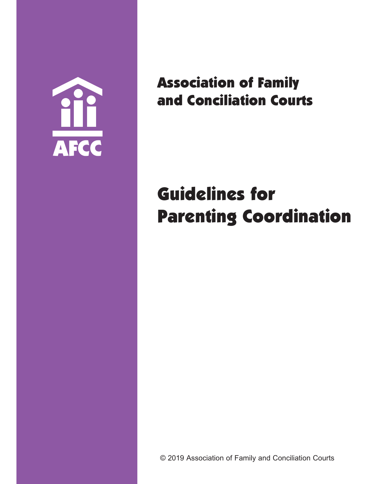

Association of Family and Conciliation Courts

# Guidelines for Parenting Coordination

© 2019 Association of Family and Conciliation Courts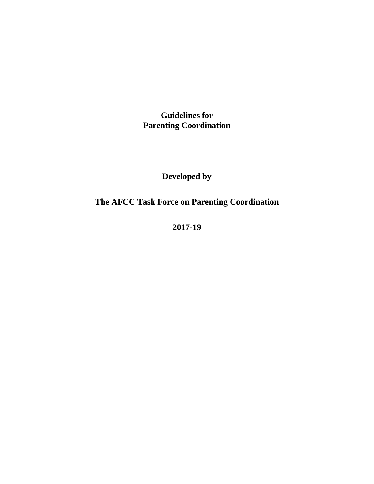**Guidelines for Parenting Coordination**

**Developed by**

**The AFCC Task Force on Parenting Coordination**

**2017-19**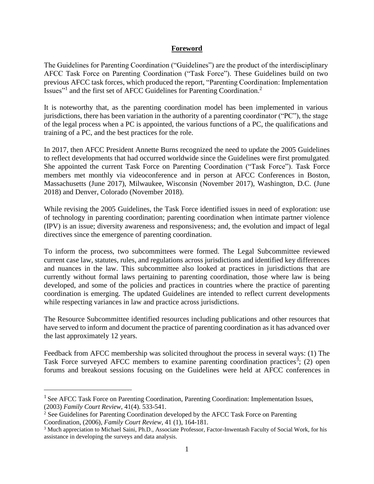#### **Foreword**

The Guidelines for Parenting Coordination ("Guidelines") are the product of the interdisciplinary AFCC Task Force on Parenting Coordination ("Task Force"). These Guidelines build on two previous AFCC task forces, which produced the report, "Parenting Coordination: Implementation Issues"<sup>1</sup> and the first set of AFCC Guidelines for Parenting Coordination.<sup>2</sup>

It is noteworthy that, as the parenting coordination model has been implemented in various jurisdictions, there has been variation in the authority of a parenting coordinator ("PC"), the stage of the legal process when a PC is appointed, the various functions of a PC, the qualifications and training of a PC, and the best practices for the role.

In 2017, then AFCC President Annette Burns recognized the need to update the 2005 Guidelines to reflect developments that had occurred worldwide since the Guidelines were first promulgated. She appointed the current Task Force on Parenting Coordination ("Task Force"). Task Force members met monthly via videoconference and in person at AFCC Conferences in Boston, Massachusetts (June 2017), Milwaukee, Wisconsin (November 2017), Washington, D.C. (June 2018) and Denver, Colorado (November 2018).

While revising the 2005 Guidelines, the Task Force identified issues in need of exploration: use of technology in parenting coordination; parenting coordination when intimate partner violence (IPV) is an issue; diversity awareness and responsiveness; and, the evolution and impact of legal directives since the emergence of parenting coordination.

To inform the process, two subcommittees were formed. The Legal Subcommittee reviewed current case law, statutes, rules, and regulations across jurisdictions and identified key differences and nuances in the law. This subcommittee also looked at practices in jurisdictions that are currently without formal laws pertaining to parenting coordination, those where law is being developed, and some of the policies and practices in countries where the practice of parenting coordination is emerging. The updated Guidelines are intended to reflect current developments while respecting variances in law and practice across jurisdictions.

The Resource Subcommittee identified resources including publications and other resources that have served to inform and document the practice of parenting coordination as it has advanced over the last approximately 12 years.

Feedback from AFCC membership was solicited throughout the process in several ways: (1) The Task Force surveyed AFCC members to examine parenting coordination practices<sup>3</sup>; (2) open forums and breakout sessions focusing on the Guidelines were held at AFCC conferences in

<sup>&</sup>lt;sup>1</sup> See AFCC Task Force on Parenting Coordination, Parenting Coordination: Implementation Issues, (2003) *Family Court Review*, 41(4). 533-541.

<sup>&</sup>lt;sup>2</sup> See Guidelines for Parenting Coordination developed by the AFCC Task Force on Parenting

Coordination, (2006), *Family Court Review*, 41 (1), 164-181.

<sup>3</sup> Much appreciation to Michael Saini, Ph.D., Associate Professor, Factor-Inwentash Faculty of Social Work, for his assistance in developing the surveys and data analysis.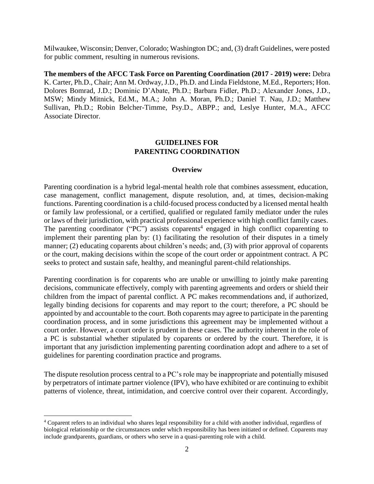Milwaukee, Wisconsin; Denver, Colorado; Washington DC; and, (3) draft Guidelines, were posted for public comment, resulting in numerous revisions.

**The members of the AFCC Task Force on Parenting Coordination (2017 - 2019) were:** Debra K. Carter, Ph.D., Chair; Ann M. Ordway, J.D., Ph.D. and Linda Fieldstone, M.Ed., Reporters; Hon. Dolores Bomrad, J.D.; Dominic D'Abate, Ph.D.; Barbara Fidler, Ph.D.; Alexander Jones, J.D., MSW; Mindy Mitnick, Ed.M., M.A.; John A. Moran, Ph.D.; Daniel T. Nau, J.D.; Matthew Sullivan, Ph.D.; Robin Belcher-Timme, Psy.D., ABPP.; and, Leslye Hunter, M.A., AFCC Associate Director.

#### **GUIDELINES FOR PARENTING COORDINATION**

#### **Overview**

Parenting coordination is a hybrid legal-mental health role that combines assessment, education, case management, conflict management, dispute resolution, and, at times, decision-making functions. Parenting coordination is a child-focused process conducted by a licensed mental health or family law professional, or a certified, qualified or regulated family mediator under the rules or laws of their jurisdiction, with practical professional experience with high conflict family cases. The parenting coordinator ("PC") assists coparents<sup>4</sup> engaged in high conflict coparenting to implement their parenting plan by: (1) facilitating the resolution of their disputes in a timely manner; (2) educating coparents about children's needs; and, (3) with prior approval of coparents or the court, making decisions within the scope of the court order or appointment contract. A PC seeks to protect and sustain safe, healthy, and meaningful parent-child relationships.

Parenting coordination is for coparents who are unable or unwilling to jointly make parenting decisions, communicate effectively, comply with parenting agreements and orders or shield their children from the impact of parental conflict. A PC makes recommendations and, if authorized, legally binding decisions for coparents and may report to the court; therefore, a PC should be appointed by and accountable to the court. Both coparents may agree to participate in the parenting coordination process, and in some jurisdictions this agreement may be implemented without a court order. However, a court order is prudent in these cases. The authority inherent in the role of a PC is substantial whether stipulated by coparents or ordered by the court. Therefore, it is important that any jurisdiction implementing parenting coordination adopt and adhere to a set of guidelines for parenting coordination practice and programs.

The dispute resolution process central to a PC's role may be inappropriate and potentially misused by perpetrators of intimate partner violence (IPV), who have exhibited or are continuing to exhibit patterns of violence, threat, intimidation, and coercive control over their coparent. Accordingly,

<sup>4</sup> Coparent refers to an individual who shares legal responsibility for a child with another individual, regardless of biological relationship or the circumstances under which responsibility has been initiated or defined. Coparents may include grandparents, guardians, or others who serve in a quasi-parenting role with a child.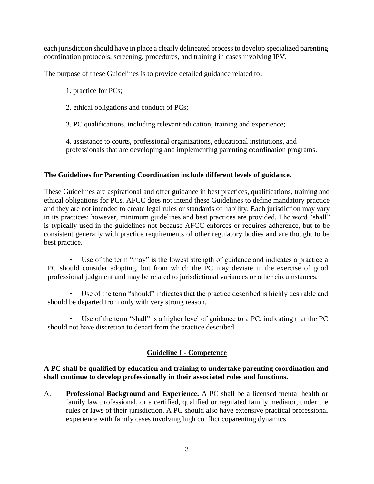each jurisdiction should have in place a clearly delineated process to develop specialized parenting coordination protocols, screening, procedures, and training in cases involving IPV.

The purpose of these Guidelines is to provide detailed guidance related to**:**

1. practice for PCs;

2. ethical obligations and conduct of PCs;

3. PC qualifications, including relevant education, training and experience;

4. assistance to courts, professional organizations, educational institutions, and professionals that are developing and implementing parenting coordination programs.

# **The Guidelines for Parenting Coordination include different levels of guidance.**

These Guidelines are aspirational and offer guidance in best practices, qualifications, training and ethical obligations for PCs. AFCC does not intend these Guidelines to define mandatory practice and they are not intended to create legal rules or standards of liability. Each jurisdiction may vary in its practices; however, minimum guidelines and best practices are provided. The word "shall" is typically used in the guidelines not because AFCC enforces or requires adherence, but to be consistent generally with practice requirements of other regulatory bodies and are thought to be best practice.

• Use of the term "may" is the lowest strength of guidance and indicates a practice a PC should consider adopting, but from which the PC may deviate in the exercise of good professional judgment and may be related to jurisdictional variances or other circumstances.

• Use of the term "should" indicates that the practice described is highly desirable and should be departed from only with very strong reason.

• Use of the term "shall" is a higher level of guidance to a PC, indicating that the PC should not have discretion to depart from the practice described.

# **Guideline I - Competence**

## **A PC shall be qualified by education and training to undertake parenting coordination and shall continue to develop professionally in their associated roles and functions.**

A. **Professional Background and Experience.** A PC shall be a licensed mental health or family law professional, or a certified, qualified or regulated family mediator, under the rules or laws of their jurisdiction. A PC should also have extensive practical professional experience with family cases involving high conflict coparenting dynamics.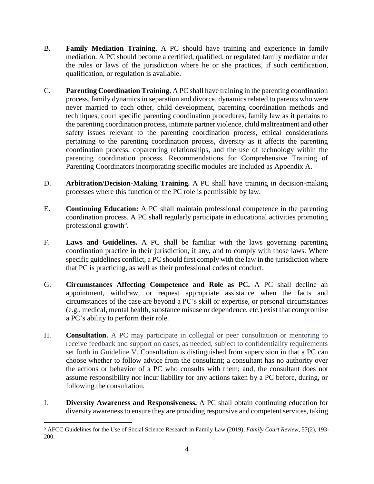- B. **Family Mediation Training.** A PC should have training and experience in family mediation. A PC should become a certified, qualified, or regulated family mediator under the rules or laws of the jurisdiction where he or she practices, if such certification, qualification, or regulation is available.
- C. **Parenting Coordination Training.** A PC shall have training in the parenting coordination process, family dynamics in separation and divorce, dynamics related to parents who were never married to each other, child development, parenting coordination methods and techniques, court specific parenting coordination procedures, family law as it pertains to the parenting coordination process, intimate partner violence, child maltreatment and other safety issues relevant to the parenting coordination process, ethical considerations pertaining to the parenting coordination process, diversity as it affects the parenting coordination process, coparenting relationships, and the use of technology within the parenting coordination process. Recommendations for Comprehensive Training of Parenting Coordinators incorporating specific modules are included as Appendix A.
- D. **Arbitration/Decision-Making Training.** A PC shall have training in decision-making processes where this function of the PC role is permissible by law.
- E. **Continuing Education:** A PC shall maintain professional competence in the parenting coordination process. A PC shall regularly participate in educational activities promoting professional growth<sup>5</sup>.
- F. **Laws and Guidelines.** A PC shall be familiar with the laws governing parenting coordination practice in their jurisdiction, if any, and to comply with those laws. Where specific guidelines conflict, a PC should first comply with the law in the jurisdiction where that PC is practicing, as well as their professional codes of conduct.
- G. **Circumstances Affecting Competence and Role as PC.** A PC shall decline an appointment, withdraw, or request appropriate assistance when the facts and circumstances of the case are beyond a PC's skill or expertise, or personal circumstances (e.g., medical, mental health, substance misuse or dependence, etc.) exist that compromise a PC's ability to perform their role.
- H. **Consultation.** A PC may participate in collegial or peer consultation or mentoring to receive feedback and support on cases, as needed, subject to confidentiality requirements set forth in Guideline V. Consultation is distinguished from supervision in that a PC can choose whether to follow advice from the consultant; a consultant has no authority over the actions or behavior of a PC who consults with them; and, the consultant does not assume responsibility nor incur liability for any actions taken by a PC before, during, or following the consultation.
- I. **Diversity Awareness and Responsiveness.** A PC shall obtain continuing education for diversity awareness to ensure they are providing responsive and competent services, taking

<sup>5</sup> AFCC Guidelines for the Use of Social Science Research in Family Law (2019), *Family Court Review*, 57(2), 193- 200.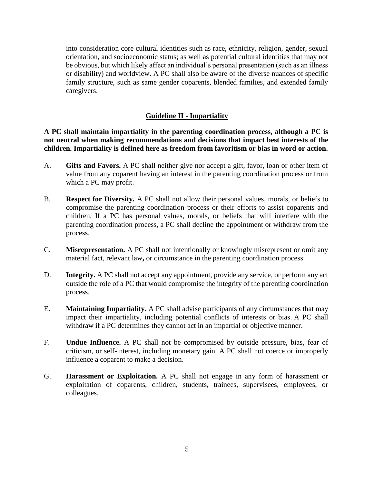into consideration core cultural identities such as race, ethnicity, religion, gender, sexual orientation, and socioeconomic status; as well as potential cultural identities that may not be obvious, but which likely affect an individual's personal presentation (such as an illness or disability) and worldview. A PC shall also be aware of the diverse nuances of specific family structure, such as same gender coparents, blended families, and extended family caregivers.

#### **Guideline II - Impartiality**

**A PC shall maintain impartiality in the parenting coordination process, although a PC is not neutral when making recommendations and decisions that impact best interests of the children. Impartiality is defined here as freedom from favoritism or bias in word or action.**

- A. **Gifts and Favors.** A PC shall neither give nor accept a gift, favor, loan or other item of value from any coparent having an interest in the parenting coordination process or from which a PC may profit.
- B. **Respect for Diversity.** A PC shall not allow their personal values, morals, or beliefs to compromise the parenting coordination process or their efforts to assist coparents and children. If a PC has personal values, morals, or beliefs that will interfere with the parenting coordination process, a PC shall decline the appointment or withdraw from the process.
- C. **Misrepresentation.** A PC shall not intentionally or knowingly misrepresent or omit any material fact, relevant law**,** or circumstance in the parenting coordination process.
- D. **Integrity.** A PC shall not accept any appointment, provide any service, or perform any act outside the role of a PC that would compromise the integrity of the parenting coordination process.
- E. **Maintaining Impartiality.** A PC shall advise participants of any circumstances that may impact their impartiality, including potential conflicts of interests or bias. A PC shall withdraw if a PC determines they cannot act in an impartial or objective manner.
- F. **Undue Influence.** A PC shall not be compromised by outside pressure, bias, fear of criticism, or self-interest, including monetary gain. A PC shall not coerce or improperly influence a coparent to make a decision.
- G. **Harassment or Exploitation.** A PC shall not engage in any form of harassment or exploitation of coparents, children, students, trainees, supervisees, employees, or colleagues.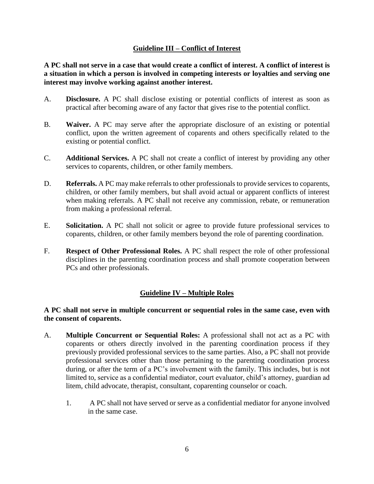## **Guideline III – Conflict of Interest**

**A PC shall not serve in a case that would create a conflict of interest. A conflict of interest is a situation in which a person is involved in competing interests or loyalties and serving one interest may involve working against another interest.**

- A. **Disclosure.** A PC shall disclose existing or potential conflicts of interest as soon as practical after becoming aware of any factor that gives rise to the potential conflict.
- B. **Waiver.** A PC may serve after the appropriate disclosure of an existing or potential conflict, upon the written agreement of coparents and others specifically related to the existing or potential conflict.
- C. **Additional Services.** A PC shall not create a conflict of interest by providing any other services to coparents, children, or other family members.
- D. **Referrals.** A PC may make referrals to other professionals to provide services to coparents, children, or other family members, but shall avoid actual or apparent conflicts of interest when making referrals. A PC shall not receive any commission, rebate, or remuneration from making a professional referral.
- E. **Solicitation.** A PC shall not solicit or agree to provide future professional services to coparents, children, or other family members beyond the role of parenting coordination.
- F. **Respect of Other Professional Roles.** A PC shall respect the role of other professional disciplines in the parenting coordination process and shall promote cooperation between PCs and other professionals.

## **Guideline IV – Multiple Roles**

#### **A PC shall not serve in multiple concurrent or sequential roles in the same case, even with the consent of coparents.**

- A. **Multiple Concurrent or Sequential Roles:** A professional shall not act as a PC with coparents or others directly involved in the parenting coordination process if they previously provided professional services to the same parties. Also, a PC shall not provide professional services other than those pertaining to the parenting coordination process during, or after the term of a PC's involvement with the family. This includes, but is not limited to, service as a confidential mediator, court evaluator, child's attorney, guardian ad litem, child advocate, therapist, consultant, coparenting counselor or coach.
	- 1. A PC shall not have served or serve as a confidential mediator for anyone involved in the same case.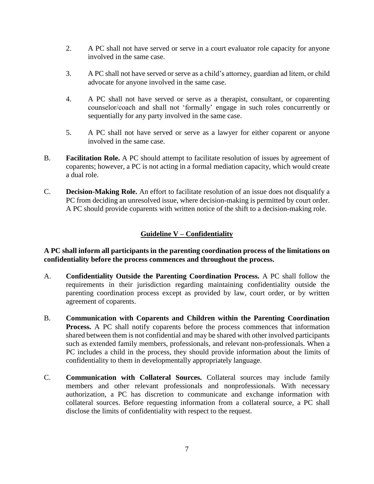- 2. A PC shall not have served or serve in a court evaluator role capacity for anyone involved in the same case.
- 3. A PC shall not have served or serve as a child's attorney, guardian ad litem, or child advocate for anyone involved in the same case.
- 4. A PC shall not have served or serve as a therapist, consultant, or coparenting counselor/coach and shall not 'formally' engage in such roles concurrently or sequentially for any party involved in the same case.
- 5. A PC shall not have served or serve as a lawyer for either coparent or anyone involved in the same case.
- B. **Facilitation Role.** A PC should attempt to facilitate resolution of issues by agreement of coparents; however, a PC is not acting in a formal mediation capacity, which would create a dual role.
- C. **Decision-Making Role.** An effort to facilitate resolution of an issue does not disqualify a PC from deciding an unresolved issue, where decision-making is permitted by court order. A PC should provide coparents with written notice of the shift to a decision-making role.

# **Guideline V – Confidentiality**

**A PC shall inform all participants in the parenting coordination process of the limitations on confidentiality before the process commences and throughout the process.** 

- A. **Confidentiality Outside the Parenting Coordination Process.** A PC shall follow the requirements in their jurisdiction regarding maintaining confidentiality outside the parenting coordination process except as provided by law, court order, or by written agreement of coparents.
- B. **Communication with Coparents and Children within the Parenting Coordination Process.** A PC shall notify coparents before the process commences that information shared between them is not confidential and may be shared with other involved participants such as extended family members, professionals, and relevant non-professionals. When a PC includes a child in the process, they should provide information about the limits of confidentiality to them in developmentally appropriately language.
- C. **Communication with Collateral Sources.** Collateral sources may include family members and other relevant professionals and nonprofessionals. With necessary authorization, a PC has discretion to communicate and exchange information with collateral sources. Before requesting information from a collateral source, a PC shall disclose the limits of confidentiality with respect to the request.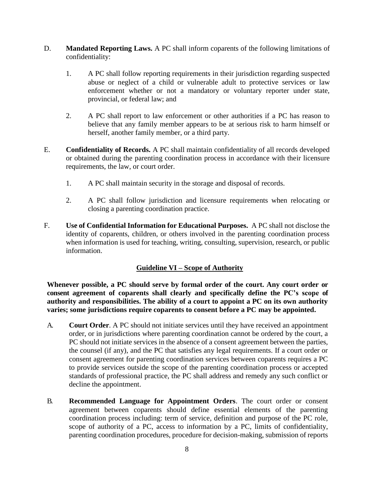- D. **Mandated Reporting Laws.** A PC shall inform coparents of the following limitations of confidentiality:
	- 1. A PC shall follow reporting requirements in their jurisdiction regarding suspected abuse or neglect of a child or vulnerable adult to protective services or law enforcement whether or not a mandatory or voluntary reporter under state, provincial, or federal law; and
	- 2. A PC shall report to law enforcement or other authorities if a PC has reason to believe that any family member appears to be at serious risk to harm himself or herself, another family member, or a third party.
- E. **Confidentiality of Records.** A PC shall maintain confidentiality of all records developed or obtained during the parenting coordination process in accordance with their licensure requirements, the law, or court order.
	- 1. A PC shall maintain security in the storage and disposal of records.
	- 2. A PC shall follow jurisdiction and licensure requirements when relocating or closing a parenting coordination practice.
- F. **Use of Confidential Information for Educational Purposes.** A PC shall not disclose the identity of coparents, children, or others involved in the parenting coordination process when information is used for teaching, writing, consulting, supervision, research, or public information.

## **Guideline VI – Scope of Authority**

**Whenever possible, a PC should serve by formal order of the court. Any court order or consent agreement of coparents shall clearly and specifically define the PC's scope of authority and responsibilities. The ability of a court to appoint a PC on its own authority varies; some jurisdictions require coparents to consent before a PC may be appointed.**

- A. **Court Order**. A PC should not initiate services until they have received an appointment order, or in jurisdictions where parenting coordination cannot be ordered by the court, a PC should not initiate services in the absence of a consent agreement between the parties, the counsel (if any), and the PC that satisfies any legal requirements. If a court order or consent agreement for parenting coordination services between coparents requires a PC to provide services outside the scope of the parenting coordination process or accepted standards of professional practice, the PC shall address and remedy any such conflict or decline the appointment.
- B. **Recommended Language for Appointment Orders**. The court order or consent agreement between coparents should define essential elements of the parenting coordination process including: term of service, definition and purpose of the PC role, scope of authority of a PC, access to information by a PC, limits of confidentiality, parenting coordination procedures, procedure for decision-making, submission of reports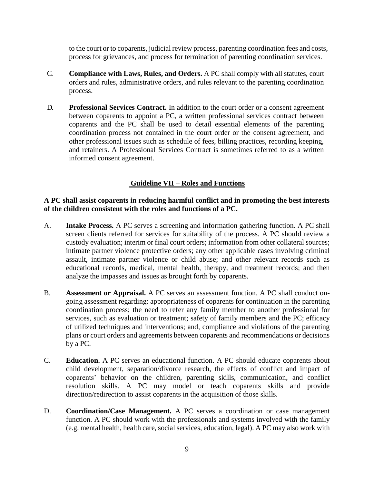to the court or to coparents, judicial review process, parenting coordination fees and costs, process for grievances, and process for termination of parenting coordination services.

- C. **Compliance with Laws, Rules, and Orders.** A PC shall comply with all statutes, court orders and rules, administrative orders, and rules relevant to the parenting coordination process.
- D. **Professional Services Contract.** In addition to the court order or a consent agreement between coparents to appoint a PC, a written professional services contract between coparents and the PC shall be used to detail essential elements of the parenting coordination process not contained in the court order or the consent agreement, and other professional issues such as schedule of fees, billing practices, recording keeping, and retainers. A Professional Services Contract is sometimes referred to as a written informed consent agreement.

# **Guideline VII – Roles and Functions**

#### **A PC shall assist coparents in reducing harmful conflict and in promoting the best interests of the children consistent with the roles and functions of a PC.**

- A. **Intake Process.** A PC serves a screening and information gathering function. A PC shall screen clients referred for services for suitability of the process. A PC should review a custody evaluation; interim or final court orders; information from other collateral sources; intimate partner violence protective orders; any other applicable cases involving criminal assault, intimate partner violence or child abuse; and other relevant records such as educational records, medical, mental health, therapy, and treatment records; and then analyze the impasses and issues as brought forth by coparents.
- B. **Assessment or Appraisal.** A PC serves an assessment function. A PC shall conduct ongoing assessment regarding: appropriateness of coparents for continuation in the parenting coordination process; the need to refer any family member to another professional for services, such as evaluation or treatment; safety of family members and the PC; efficacy of utilized techniques and interventions; and, compliance and violations of the parenting plans or court orders and agreements between coparents and recommendations or decisions by a PC.
- C. **Education.** A PC serves an educational function. A PC should educate coparents about child development, separation/divorce research, the effects of conflict and impact of coparents' behavior on the children, parenting skills, communication, and conflict resolution skills. A PC may model or teach coparents skills and provide direction/redirection to assist coparents in the acquisition of those skills.
- D. **Coordination/Case Management.** A PC serves a coordination or case management function. A PC should work with the professionals and systems involved with the family (e.g. mental health, health care, social services, education, legal). A PC may also work with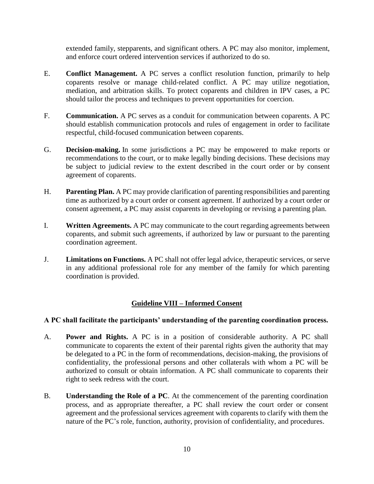extended family, stepparents, and significant others. A PC may also monitor, implement, and enforce court ordered intervention services if authorized to do so.

- E. **Conflict Management.** A PC serves a conflict resolution function, primarily to help coparents resolve or manage child-related conflict. A PC may utilize negotiation, mediation, and arbitration skills. To protect coparents and children in IPV cases, a PC should tailor the process and techniques to prevent opportunities for coercion.
- F. **Communication.** A PC serves as a conduit for communication between coparents. A PC should establish communication protocols and rules of engagement in order to facilitate respectful, child-focused communication between coparents.
- G. **Decision-making.** In some jurisdictions a PC may be empowered to make reports or recommendations to the court, or to make legally binding decisions. These decisions may be subject to judicial review to the extent described in the court order or by consent agreement of coparents.
- H. **Parenting Plan.** A PC may provide clarification of parenting responsibilities and parenting time as authorized by a court order or consent agreement. If authorized by a court order or consent agreement, a PC may assist coparents in developing or revising a parenting plan.
- I. **Written Agreements.** A PC may communicate to the court regarding agreements between coparents, and submit such agreements, if authorized by law or pursuant to the parenting coordination agreement.
- J. **Limitations on Functions.** A PC shall not offer legal advice, therapeutic services, or serve in any additional professional role for any member of the family for which parenting coordination is provided.

## **Guideline VIII – Informed Consent**

#### **A PC shall facilitate the participants' understanding of the parenting coordination process.**

- A. **Power and Rights.** A PC is in a position of considerable authority. A PC shall communicate to coparents the extent of their parental rights given the authority that may be delegated to a PC in the form of recommendations, decision-making, the provisions of confidentiality, the professional persons and other collaterals with whom a PC will be authorized to consult or obtain information. A PC shall communicate to coparents their right to seek redress with the court.
- B. **Understanding the Role of a PC**. At the commencement of the parenting coordination process, and as appropriate thereafter, a PC shall review the court order or consent agreement and the professional services agreement with coparents to clarify with them the nature of the PC's role, function, authority, provision of confidentiality, and procedures.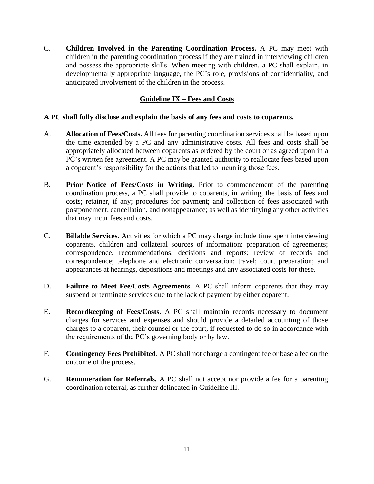C. **Children Involved in the Parenting Coordination Process.** A PC may meet with children in the parenting coordination process if they are trained in interviewing children and possess the appropriate skills. When meeting with children, a PC shall explain, in developmentally appropriate language, the PC's role, provisions of confidentiality, and anticipated involvement of the children in the process.

# **Guideline IX – Fees and Costs**

## **A PC shall fully disclose and explain the basis of any fees and costs to coparents.**

- A. **Allocation of Fees/Costs.** All fees for parenting coordination services shall be based upon the time expended by a PC and any administrative costs. All fees and costs shall be appropriately allocated between coparents as ordered by the court or as agreed upon in a PC's written fee agreement. A PC may be granted authority to reallocate fees based upon a coparent's responsibility for the actions that led to incurring those fees.
- B. **Prior Notice of Fees/Costs in Writing.** Prior to commencement of the parenting coordination process, a PC shall provide to coparents, in writing, the basis of fees and costs; retainer, if any; procedures for payment; and collection of fees associated with postponement, cancellation, and nonappearance; as well as identifying any other activities that may incur fees and costs.
- C. **Billable Services.** Activities for which a PC may charge include time spent interviewing coparents, children and collateral sources of information; preparation of agreements; correspondence, recommendations, decisions and reports; review of records and correspondence; telephone and electronic conversation; travel; court preparation; and appearances at hearings, depositions and meetings and any associated costs for these.
- D. **Failure to Meet Fee/Costs Agreements**. A PC shall inform coparents that they may suspend or terminate services due to the lack of payment by either coparent.
- E. **Recordkeeping of Fees/Costs**. A PC shall maintain records necessary to document charges for services and expenses and should provide a detailed accounting of those charges to a coparent, their counsel or the court, if requested to do so in accordance with the requirements of the PC's governing body or by law.
- F. **Contingency Fees Prohibited**. A PC shall not charge a contingent fee or base a fee on the outcome of the process.
- G. **Remuneration for Referrals.** A PC shall not accept nor provide a fee for a parenting coordination referral, as further delineated in Guideline III.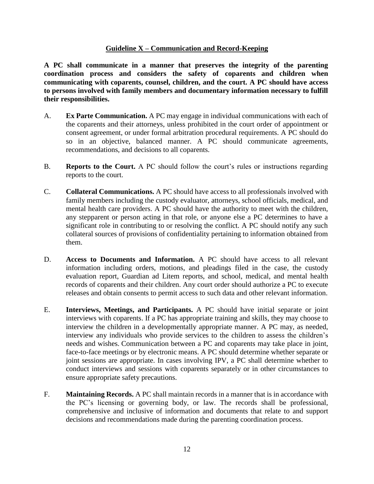## **Guideline X – Communication and Record-Keeping**

**A PC shall communicate in a manner that preserves the integrity of the parenting coordination process and considers the safety of coparents and children when communicating with coparents, counsel, children, and the court. A PC should have access to persons involved with family members and documentary information necessary to fulfill their responsibilities.**

- A. **Ex Parte Communication.** A PC may engage in individual communications with each of the coparents and their attorneys, unless prohibited in the court order of appointment or consent agreement, or under formal arbitration procedural requirements. A PC should do so in an objective, balanced manner. A PC should communicate agreements, recommendations, and decisions to all coparents.
- B. **Reports to the Court.** A PC should follow the court's rules or instructions regarding reports to the court.
- C. **Collateral Communications.** A PC should have access to all professionals involved with family members including the custody evaluator, attorneys, school officials, medical, and mental health care providers. A PC should have the authority to meet with the children, any stepparent or person acting in that role, or anyone else a PC determines to have a significant role in contributing to or resolving the conflict. A PC should notify any such collateral sources of provisions of confidentiality pertaining to information obtained from them.
- D. **Access to Documents and Information.** A PC should have access to all relevant information including orders, motions, and pleadings filed in the case, the custody evaluation report, Guardian ad Litem reports, and school, medical, and mental health records of coparents and their children. Any court order should authorize a PC to execute releases and obtain consents to permit access to such data and other relevant information.
- E. **Interviews, Meetings, and Participants.** A PC should have initial separate or joint interviews with coparents. If a PC has appropriate training and skills, they may choose to interview the children in a developmentally appropriate manner. A PC may, as needed, interview any individuals who provide services to the children to assess the children's needs and wishes. Communication between a PC and coparents may take place in joint, face-to-face meetings or by electronic means. A PC should determine whether separate or joint sessions are appropriate. In cases involving IPV, a PC shall determine whether to conduct interviews and sessions with coparents separately or in other circumstances to ensure appropriate safety precautions.
- F. **Maintaining Records.** A PC shall maintain records in a manner that is in accordance with the PC's licensing or governing body, or law. The records shall be professional, comprehensive and inclusive of information and documents that relate to and support decisions and recommendations made during the parenting coordination process.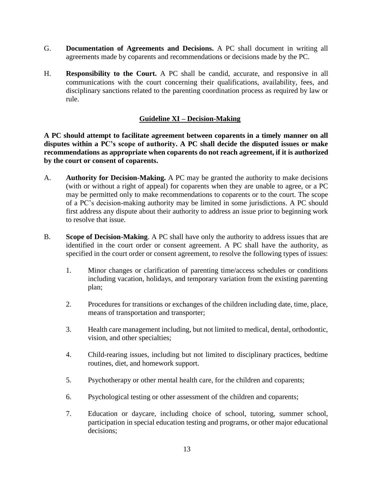- G. **Documentation of Agreements and Decisions.** A PC shall document in writing all agreements made by coparents and recommendations or decisions made by the PC.
- H. **Responsibility to the Court.** A PC shall be candid, accurate, and responsive in all communications with the court concerning their qualifications, availability, fees, and disciplinary sanctions related to the parenting coordination process as required by law or rule.

## **Guideline XI – Decision-Making**

**A PC should attempt to facilitate agreement between coparents in a timely manner on all disputes within a PC's scope of authority. A PC shall decide the disputed issues or make recommendations as appropriate when coparents do not reach agreement, if it is authorized by the court or consent of coparents.** 

- A. **Authority for Decision-Making.** A PC may be granted the authority to make decisions (with or without a right of appeal) for coparents when they are unable to agree, or a PC may be permitted only to make recommendations to coparents or to the court. The scope of a PC's decision-making authority may be limited in some jurisdictions. A PC should first address any dispute about their authority to address an issue prior to beginning work to resolve that issue.
- B. **Scope of Decision-Making**. A PC shall have only the authority to address issues that are identified in the court order or consent agreement. A PC shall have the authority, as specified in the court order or consent agreement, to resolve the following types of issues:
	- 1. Minor changes or clarification of parenting time/access schedules or conditions including vacation, holidays, and temporary variation from the existing parenting plan;
	- 2. Procedures for transitions or exchanges of the children including date, time, place, means of transportation and transporter;
	- 3. Health care management including, but not limited to medical, dental, orthodontic, vision, and other specialties;
	- 4. Child-rearing issues, including but not limited to disciplinary practices, bedtime routines, diet, and homework support.
	- 5. Psychotherapy or other mental health care, for the children and coparents;
	- 6. Psychological testing or other assessment of the children and coparents;
	- 7. Education or daycare, including choice of school, tutoring, summer school, participation in special education testing and programs, or other major educational decisions;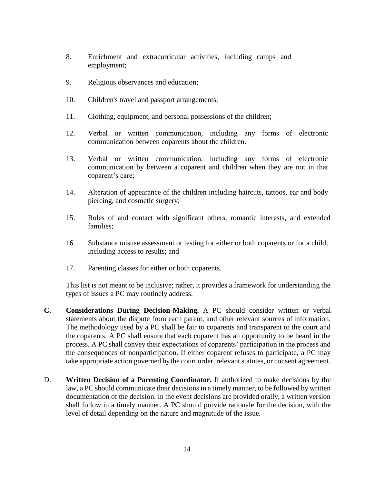- 8. Enrichment and extracurricular activities, including camps and employment;
- 9. Religious observances and education;
- 10. Children's travel and passport arrangements;
- 11. Clothing, equipment, and personal possessions of the children;
- 12. Verbal or written communication, including any forms of electronic communication between coparents about the children.
- 13. Verbal or written communication, including any forms of electronic communication by between a coparent and children when they are not in that coparent's care;
- 14. Alteration of appearance of the children including haircuts, tattoos, ear and body piercing, and cosmetic surgery;
- 15. Roles of and contact with significant others, romantic interests, and extended families;
- 16. Substance misuse assessment or testing for either or both coparents or for a child, including access to results; and
- 17. Parenting classes for either or both coparents.

This list is not meant to be inclusive; rather, it provides a framework for understanding the types of issues a PC may routinely address.

- **C. Considerations During Decision-Making.** A PC should consider written or verbal statements about the dispute from each parent, and other relevant sources of information. The methodology used by a PC shall be fair to coparents and transparent to the court and the coparents. A PC shall ensure that each coparent has an opportunity to be heard in the process. A PC shall convey their expectations of coparents' participation in the process and the consequences of nonparticipation. If either coparent refuses to participate, a PC may take appropriate action governed by the court order, relevant statutes, or consent agreement.
- D. **Written Decision of a Parenting Coordinator.** If authorized to make decisions by the law, a PC should communicate their decisions in a timely manner, to be followed by written documentation of the decision. In the event decisions are provided orally, a written version shall follow in a timely manner. A PC should provide rationale for the decision, with the level of detail depending on the nature and magnitude of the issue.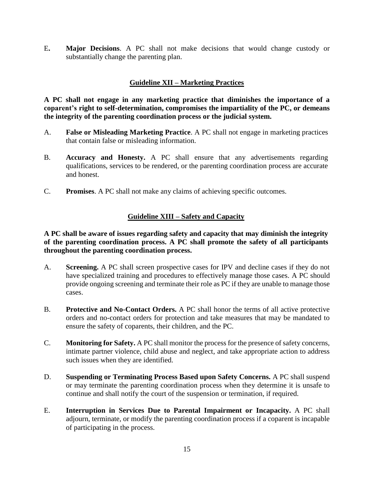E**. Major Decisions**. A PC shall not make decisions that would change custody or substantially change the parenting plan.

# **Guideline XII – Marketing Practices**

**A PC shall not engage in any marketing practice that diminishes the importance of a coparent's right to self-determination, compromises the impartiality of the PC, or demeans the integrity of the parenting coordination process or the judicial system.** 

- A. **False or Misleading Marketing Practice**. A PC shall not engage in marketing practices that contain false or misleading information.
- B. **Accuracy and Honesty.** A PC shall ensure that any advertisements regarding qualifications, services to be rendered, or the parenting coordination process are accurate and honest.
- C. **Promises**. A PC shall not make any claims of achieving specific outcomes.

## **Guideline XIII – Safety and Capacity**

## **A PC shall be aware of issues regarding safety and capacity that may diminish the integrity of the parenting coordination process. A PC shall promote the safety of all participants throughout the parenting coordination process.**

- A. **Screening.** A PC shall screen prospective cases for IPV and decline cases if they do not have specialized training and procedures to effectively manage those cases. A PC should provide ongoing screening and terminate their role as PC if they are unable to manage those cases.
- B. **Protective and No-Contact Orders.** A PC shall honor the terms of all active protective orders and no-contact orders for protection and take measures that may be mandated to ensure the safety of coparents, their children, and the PC.
- C. **Monitoring for Safety.** A PC shall monitor the process for the presence of safety concerns, intimate partner violence, child abuse and neglect, and take appropriate action to address such issues when they are identified.
- D. **Suspending or Terminating Process Based upon Safety Concerns.** A PC shall suspend or may terminate the parenting coordination process when they determine it is unsafe to continue and shall notify the court of the suspension or termination, if required.
- E. **Interruption in Services Due to Parental Impairment or Incapacity.** A PC shall adjourn, terminate, or modify the parenting coordination process if a coparent is incapable of participating in the process.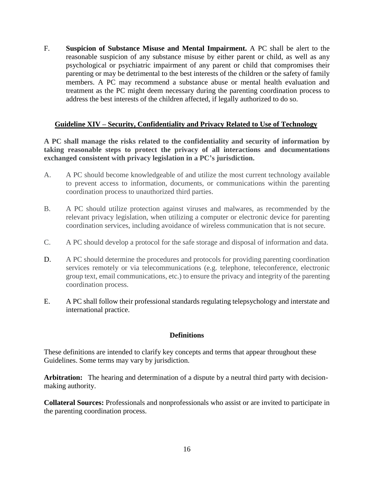F. **Suspicion of Substance Misuse and Mental Impairment.** A PC shall be alert to the reasonable suspicion of any substance misuse by either parent or child, as well as any psychological or psychiatric impairment of any parent or child that compromises their parenting or may be detrimental to the best interests of the children or the safety of family members. A PC may recommend a substance abuse or mental health evaluation and treatment as the PC might deem necessary during the parenting coordination process to address the best interests of the children affected, if legally authorized to do so.

## **Guideline XIV – Security, Confidentiality and Privacy Related to Use of Technology**

**A PC shall manage the risks related to the confidentiality and security of information by taking reasonable steps to protect the privacy of all interactions and documentations exchanged consistent with privacy legislation in a PC's jurisdiction.** 

- A. A PC should become knowledgeable of and utilize the most current technology available to prevent access to information, documents, or communications within the parenting coordination process to unauthorized third parties.
- B. A PC should utilize protection against viruses and malwares, as recommended by the relevant privacy legislation, when utilizing a computer or electronic device for parenting coordination services, including avoidance of wireless communication that is not secure.
- C. A PC should develop a protocol for the safe storage and disposal of information and data.
- D. A PC should determine the procedures and protocols for providing parenting coordination services remotely or via telecommunications (e.g. telephone, teleconference, electronic group text, email communications, etc.) to ensure the privacy and integrity of the parenting coordination process.
- E. A PC shall follow their professional standards regulating telepsychology and interstate and international practice.

#### **Definitions**

These definitions are intended to clarify key concepts and terms that appear throughout these Guidelines. Some terms may vary by jurisdiction.

**Arbitration:** The hearing and determination of a dispute by a neutral third party with decisionmaking authority.

**Collateral Sources:** Professionals and nonprofessionals who assist or are invited to participate in the parenting coordination process.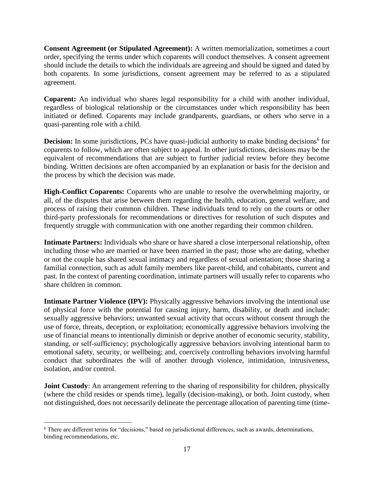**Consent Agreement (or Stipulated Agreement):** A written memorialization, sometimes a court order, specifying the terms under which coparents will conduct themselves. A consent agreement should include the details to which the individuals are agreeing and should be signed and dated by both coparents. In some jurisdictions, consent agreement may be referred to as a stipulated agreement.

**Coparent:** An individual who shares legal responsibility for a child with another individual, regardless of biological relationship or the circumstances under which responsibility has been initiated or defined. Coparents may include grandparents, guardians, or others who serve in a quasi-parenting role with a child.

**Decision:** In some jurisdictions, PCs have quasi-judicial authority to make binding decisions<sup>6</sup> for coparents to follow, which are often subject to appeal. In other jurisdictions, decisions may be the equivalent of recommendations that are subject to further judicial review before they become binding. Written decisions are often accompanied by an explanation or basis for the decision and the process by which the decision was made.

**High-Conflict Coparents:** Coparents who are unable to resolve the overwhelming majority, or all, of the disputes that arise between them regarding the health, education, general welfare, and process of raising their common children. These individuals tend to rely on the courts or other third-party professionals for recommendations or directives for resolution of such disputes and frequently struggle with communication with one another regarding their common children.

**Intimate Partners:** Individuals who share or have shared a close interpersonal relationship, often including those who are married or have been married in the past; those who are dating, whether or not the couple has shared sexual intimacy and regardless of sexual orientation; those sharing a familial connection, such as adult family members like parent-child, and cohabitants, current and past. In the context of parenting coordination, intimate partners will usually refer to coparents who share children in common.

**Intimate Partner Violence (IPV):** Physically aggressive behaviors involving the intentional use of physical force with the potential for causing injury, harm, disability, or death and include: sexually aggressive behaviors; unwanted sexual activity that occurs without consent through the use of force, threats, deception, or exploitation; economically aggressive behaviors involving the use of financial means to intentionally diminish or deprive another of economic security, stability, standing, or self‐sufficiency; psychologically aggressive behaviors involving intentional harm to emotional safety, security, or wellbeing; and, coercively controlling behaviors involving harmful conduct that subordinates the will of another through violence, intimidation, intrusiveness, isolation, and/or control.

**Joint Custody:** An arrangement referring to the sharing of responsibility for children, physically (where the child resides or spends time), legally (decision-making), or both. Joint custody, when not distinguished, does not necessarily delineate the percentage allocation of parenting time (time-

<sup>6</sup> There are different terms for "decisions," based on jurisdictional differences, such as awards, determinations, binding recommendations, etc.